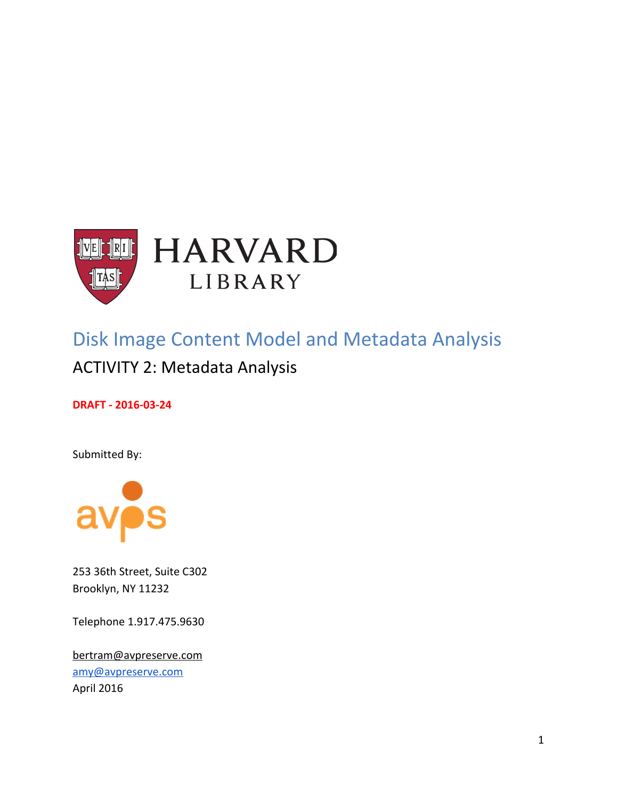

# Disk Image Content Model and Metadata Analysis

# ACTIVITY 2: Metadata Analysis

**DRAFT - 2016-03-24**

Submitted By:



253 36th Street, Suite C302 Brooklyn, NY 11232

Telephone 1.917.475.9630

[bertram@avpreserve.com](mailto:bertram@avpreserve.com) [amy@avpreserve.com](mailto:amy@avpreserve.com) April 2016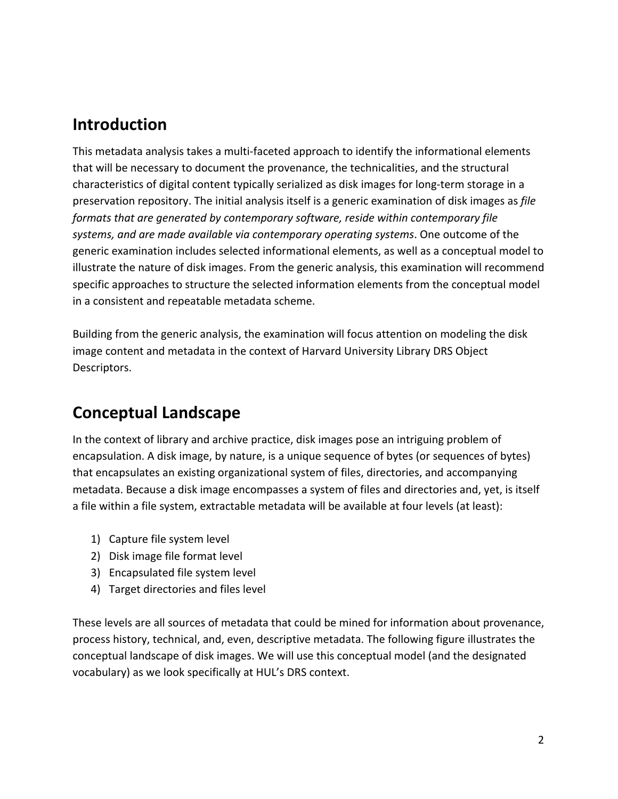# **Introduction**

This metadata analysis takes a multi-faceted approach to identify the informational elements that will be necessary to document the provenance, the technicalities, and the structural characteristics of digital content typically serialized as disk images for long-term storage in a preservation repository. The initial analysis itself is a generic examination of disk images as *file formats that are generated by contemporary software, reside within contemporary file systems, and are made available via contemporary operating systems*. One outcome of the generic examination includes selected informational elements, as well as a conceptual model to illustrate the nature of disk images. From the generic analysis, this examination will recommend specific approaches to structure the selected information elements from the conceptual model in a consistent and repeatable metadata scheme.

Building from the generic analysis, the examination will focus attention on modeling the disk image content and metadata in the context of Harvard University Library DRS Object Descriptors.

# **Conceptual Landscape**

In the context of library and archive practice, disk images pose an intriguing problem of encapsulation. A disk image, by nature, is a unique sequence of bytes (or sequences of bytes) that encapsulates an existing organizational system of files, directories, and accompanying metadata. Because a disk image encompasses a system of files and directories and, yet, is itself a file within a file system, extractable metadata will be available at four levels (at least):

- 1) Capture file system level
- 2) Disk image file format level
- 3) Encapsulated file system level
- 4) Target directories and files level

These levels are all sources of metadata that could be mined for information about provenance, process history, technical, and, even, descriptive metadata. The following figure illustrates the conceptual landscape of disk images. We will use this conceptual model (and the designated vocabulary) as we look specifically at HUL's DRS context.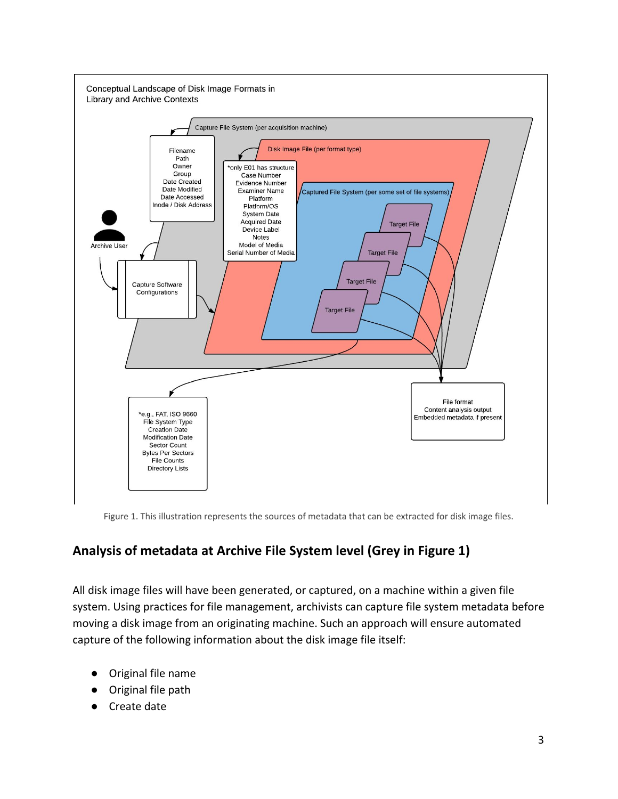

Figure 1. This illustration represents the sources of metadata that can be extracted for disk image files.

# **Analysis of metadata at Archive File System level (Grey in Figure 1)**

All disk image files will have been generated, or captured, on a machine within a given file system. Using practices for file management, archivists can capture file system metadata before moving a disk image from an originating machine. Such an approach will ensure automated capture of the following information about the disk image file itself:

- Original file name
- Original file path
- Create date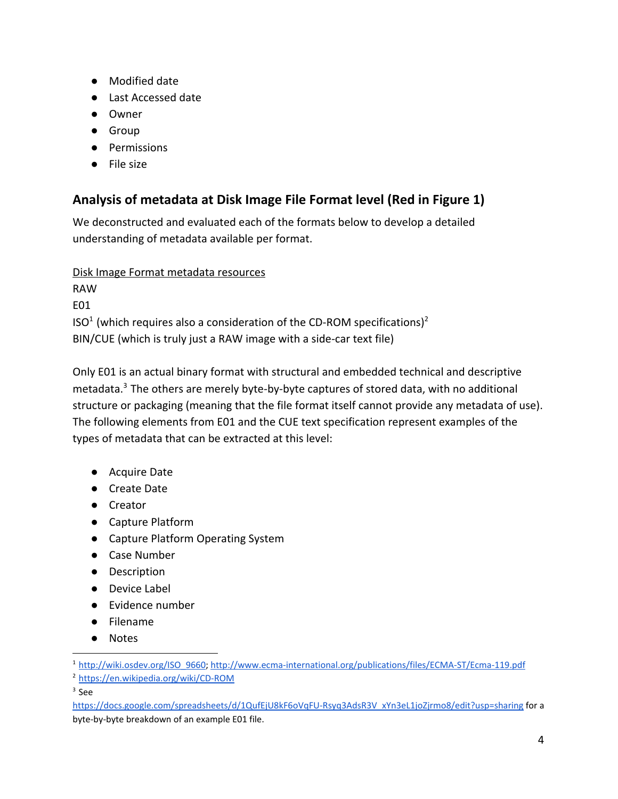- Modified date
- Last Accessed date
- Owner
- Group
- Permissions
- File size

# **Analysis of metadata at Disk Image File Format level (Red in Figure 1)**

We deconstructed and evaluated each of the formats below to develop a detailed understanding of metadata available per format.

Disk Image Format metadata resources

RAW E01  $ISO<sup>1</sup>$  (which requires also a consideration of the CD-ROM specifications)<sup>2</sup> BIN/CUE (which is truly just a RAW image with a side-car text file)

Only E01 is an actual binary format with structural and embedded technical and descriptive metadata. $3$  The others are merely byte-by-byte captures of stored data, with no additional structure or packaging (meaning that the file format itself cannot provide any metadata of use). The following elements from E01 and the CUE text specification represent examples of the types of metadata that can be extracted at this level:

- Acquire Date
- Create Date
- Creator
- Capture Platform
- Capture Platform Operating System
- Case Number
- Description
- Device Label
- Evidence number
- Filename
- Notes

 $3$  See

[https://docs.google.com/spreadsheets/d/1QufEjU8kF6oVqFU-Rsyq3AdsR3V\\_xYn3eL1joZjrmo8/edit?usp=sharing](https://docs.google.com/spreadsheets/d/1QufEjU8kF6oVqFU-Rsyq3AdsR3V_xYn3eL1joZjrmo8/edit?usp=sharing) for a byte-by-byte breakdown of an example E01 file.

<sup>1</sup> [http://wiki.osdev.org/ISO\\_9660;](http://wiki.osdev.org/ISO_9660) <http://www.ecma-international.org/publications/files/ECMA-ST/Ecma-119.pdf>

<sup>2</sup> <https://en.wikipedia.org/wiki/CD-ROM>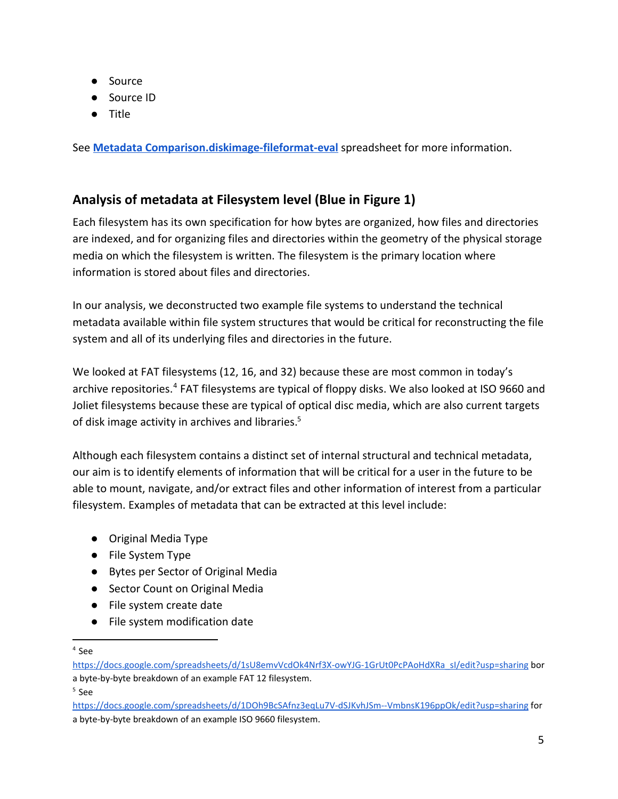- Source
- Source ID
- Title

See **[Metadata Comparison.diskimage-fileformat-eval](https://docs.google.com/spreadsheets/d/1xdeVKpFqGDzlFvCD0frSfxSO0oDFMlGyFNufI51YVH8/edit?usp=sharing)** spreadsheet for more information.

### **Analysis of metadata at Filesystem level (Blue in Figure 1)**

Each filesystem has its own specification for how bytes are organized, how files and directories are indexed, and for organizing files and directories within the geometry of the physical storage media on which the filesystem is written. The filesystem is the primary location where information is stored about files and directories.

In our analysis, we deconstructed two example file systems to understand the technical metadata available within file system structures that would be critical for reconstructing the file system and all of its underlying files and directories in the future.

We looked at FAT filesystems (12, 16, and 32) because these are most common in today's archive repositories.<sup>4</sup> FAT filesystems are typical of floppy disks. We also looked at ISO 9660 and Joliet filesystems because these are typical of optical disc media, which are also current targets of disk image activity in archives and libraries.<sup>5</sup>

Although each filesystem contains a distinct set of internal structural and technical metadata, our aim is to identify elements of information that will be critical for a user in the future to be able to mount, navigate, and/or extract files and other information of interest from a particular filesystem. Examples of metadata that can be extracted at this level include:

- Original Media Type
- File System Type
- Bytes per Sector of Original Media
- Sector Count on Original Media
- File system create date
- File system modification date

4 See

5 See

[https://docs.google.com/spreadsheets/d/1sU8emvVcdOk4Nrf3X-owYJG-1GrUt0PcPAoHdXRa\\_sI/edit?usp=sharing](https://docs.google.com/spreadsheets/d/1sU8emvVcdOk4Nrf3X-owYJG-1GrUt0PcPAoHdXRa_sI/edit?usp=sharing) bor a byte-by-byte breakdown of an example FAT 12 filesystem.

<https://docs.google.com/spreadsheets/d/1DOh9BcSAfnz3eqLu7V-dSJKvhJSm--VmbnsK196ppOk/edit?usp=sharing>for a byte-by-byte breakdown of an example ISO 9660 filesystem.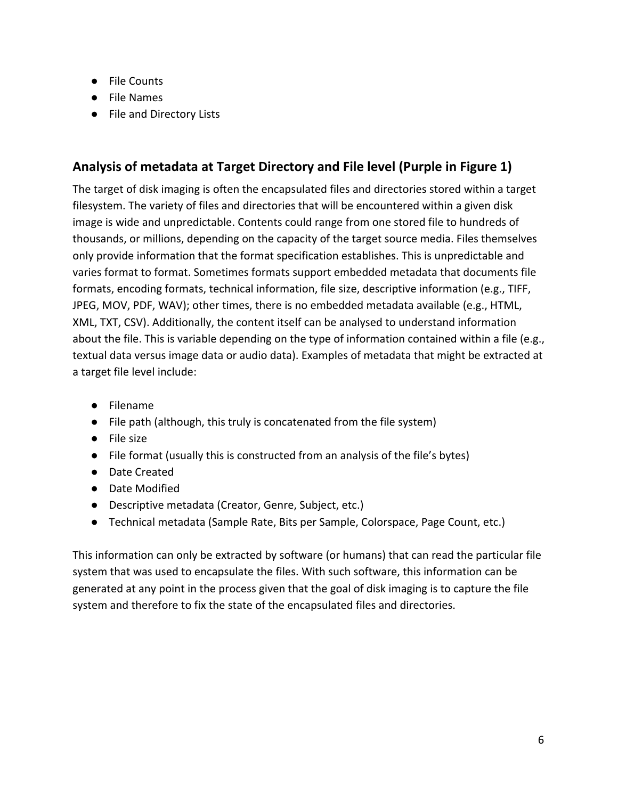- File Counts
- File Names
- File and Directory Lists

### **Analysis of metadata at Target Directory and File level (Purple in Figure 1)**

The target of disk imaging is often the encapsulated files and directories stored within a target filesystem. The variety of files and directories that will be encountered within a given disk image is wide and unpredictable. Contents could range from one stored file to hundreds of thousands, or millions, depending on the capacity of the target source media. Files themselves only provide information that the format specification establishes. This is unpredictable and varies format to format. Sometimes formats support embedded metadata that documents file formats, encoding formats, technical information, file size, descriptive information (e.g., TIFF, JPEG, MOV, PDF, WAV); other times, there is no embedded metadata available (e.g., HTML, XML, TXT, CSV). Additionally, the content itself can be analysed to understand information about the file. This is variable depending on the type of information contained within a file (e.g., textual data versus image data or audio data). Examples of metadata that might be extracted at a target file level include:

- Filename
- File path (although, this truly is concatenated from the file system)
- File size
- File format (usually this is constructed from an analysis of the file's bytes)
- Date Created
- Date Modified
- Descriptive metadata (Creator, Genre, Subject, etc.)
- Technical metadata (Sample Rate, Bits per Sample, Colorspace, Page Count, etc.)

This information can only be extracted by software (or humans) that can read the particular file system that was used to encapsulate the files. With such software, this information can be generated at any point in the process given that the goal of disk imaging is to capture the file system and therefore to fix the state of the encapsulated files and directories.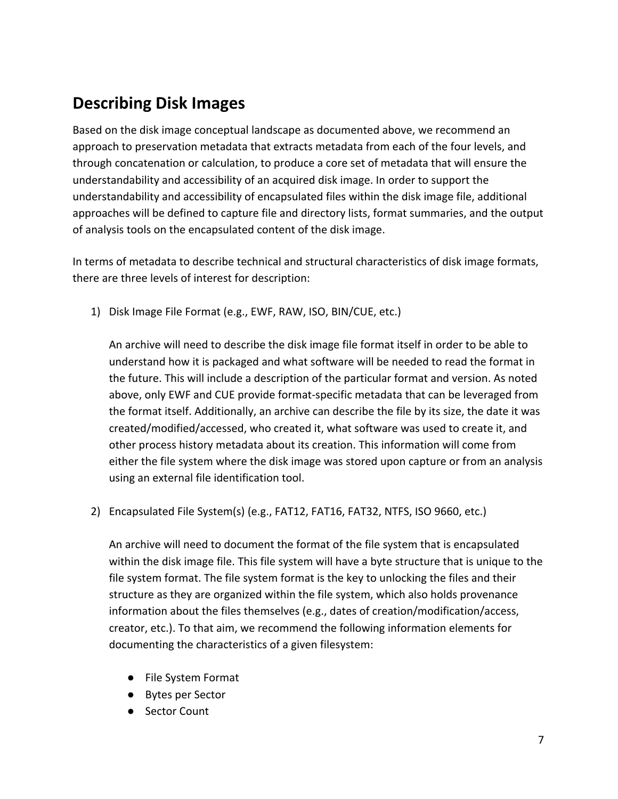# **Describing Disk Images**

Based on the disk image conceptual landscape as documented above, we recommend an approach to preservation metadata that extracts metadata from each of the four levels, and through concatenation or calculation, to produce a core set of metadata that will ensure the understandability and accessibility of an acquired disk image. In order to support the understandability and accessibility of encapsulated files within the disk image file, additional approaches will be defined to capture file and directory lists, format summaries, and the output of analysis tools on the encapsulated content of the disk image.

In terms of metadata to describe technical and structural characteristics of disk image formats, there are three levels of interest for description:

1) Disk Image File Format (e.g., EWF, RAW, ISO, BIN/CUE, etc.)

An archive will need to describe the disk image file format itself in order to be able to understand how it is packaged and what software will be needed to read the format in the future. This will include a description of the particular format and version. As noted above, only EWF and CUE provide format-specific metadata that can be leveraged from the format itself. Additionally, an archive can describe the file by its size, the date it was created/modified/accessed, who created it, what software was used to create it, and other process history metadata about its creation. This information will come from either the file system where the disk image was stored upon capture or from an analysis using an external file identification tool.

2) Encapsulated File System(s) (e.g., FAT12, FAT16, FAT32, NTFS, ISO 9660, etc.)

An archive will need to document the format of the file system that is encapsulated within the disk image file. This file system will have a byte structure that is unique to the file system format. The file system format is the key to unlocking the files and their structure as they are organized within the file system, which also holds provenance information about the files themselves (e.g., dates of creation/modification/access, creator, etc.). To that aim, we recommend the following information elements for documenting the characteristics of a given filesystem:

- File System Format
- Bytes per Sector
- Sector Count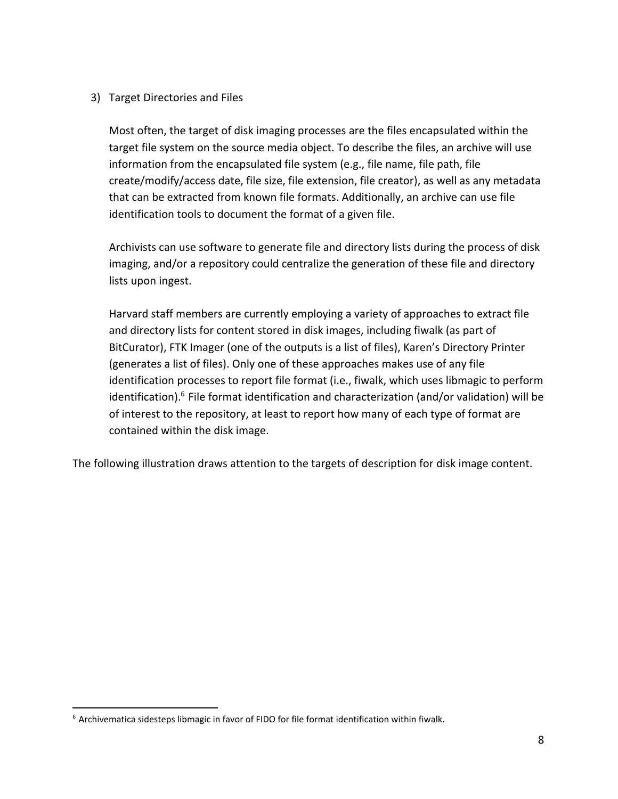#### 3) Target Directories and Files

Most often, the target of disk imaging processes are the files encapsulated within the target file system on the source media object. To describe the files, an archive will use information from the encapsulated file system (e.g., file name, file path, file create/modify/access date, file size, file extension, file creator), as well as any metadata that can be extracted from known file formats. Additionally, an archive can use file identification tools to document the format of a given file.

Archivists can use software to generate file and directory lists during the process of disk imaging, and/or a repository could centralize the generation of these file and directory lists upon ingest.

Harvard staff members are currently employing a variety of approaches to extract file and directory lists for content stored in disk images, including fiwalk (as part of BitCurator), FTK Imager (one of the outputs is a list of files), Karen's Directory Printer (generates a list of files). Only one of these approaches makes use of any file identification processes to report file format (i.e., fiwalk, which uses libmagic to perform identification). $<sup>6</sup>$  File format identification and characterization (and/or validation) will be</sup> of interest to the repository, at least to report how many of each type of format are contained within the disk image.

The following illustration draws attention to the targets of description for disk image content.

<sup>6</sup> Archivematica sidesteps libmagic in favor of FIDO for file format identification within fiwalk.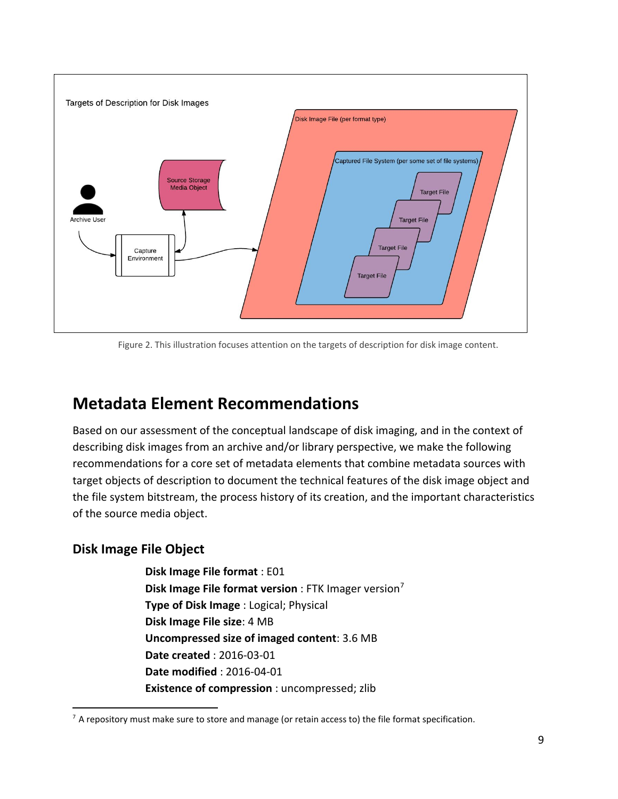

Figure 2. This illustration focuses attention on the targets of description for disk image content.

# **Metadata Element Recommendations**

Based on our assessment of the conceptual landscape of disk imaging, and in the context of describing disk images from an archive and/or library perspective, we make the following recommendations for a core set of metadata elements that combine metadata sources with target objects of description to document the technical features of the disk image object and the file system bitstream, the process history of its creation, and the important characteristics of the source media object.

### **Disk Image File Object**

**Disk Image File format** : E01 **Disk Image File format version** : FTK Imager version<sup>7</sup> **Type of Disk Image** : Logical; Physical **Disk Image File size**: 4 MB **Uncompressed size of imaged content**: 3.6 MB **Date created** : 2016-03-01 **Date modified** : 2016-04-01 **Existence of compression** : uncompressed; zlib

 $^7$  A repository must make sure to store and manage (or retain access to) the file format specification.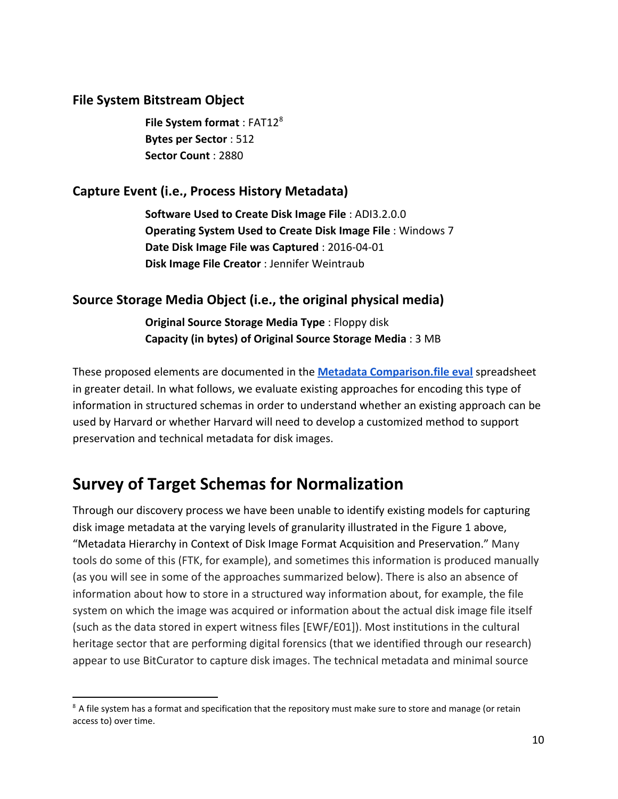### **File System Bitstream Object**

**File System format: FAT12<sup>8</sup> Bytes per Sector** : 512 **Sector Count** : 2880

### **Capture Event (i.e., Process History Metadata)**

**Software Used to Create Disk Image File** : ADI3.2.0.0 **Operating System Used to Create Disk Image File** : Windows 7 **Date Disk Image File was Captured** : 2016-04-01 **Disk Image File Creator** : Jennifer Weintraub

### **Source Storage Media Object (i.e., the original physical media)**

**Original Source Storage Media Type** : Floppy disk **Capacity (in bytes) of Original Source Storage Media** : 3 MB

These proposed elements are documented in the **[Metadata Comparison.file eval](https://docs.google.com/spreadsheets/d/1xdeVKpFqGDzlFvCD0frSfxSO0oDFMlGyFNufI51YVH8/edit?usp=sharing)** spreadsheet in greater detail. In what follows, we evaluate existing approaches for encoding this type of information in structured schemas in order to understand whether an existing approach can be used by Harvard or whether Harvard will need to develop a customized method to support preservation and technical metadata for disk images.

# **Survey of Target Schemas for Normalization**

Through our discovery process we have been unable to identify existing models for capturing disk image metadata at the varying levels of granularity illustrated in the Figure 1 above, "Metadata Hierarchy in Context of Disk Image Format Acquisition and Preservation." Many tools do some of this (FTK, for example), and sometimes this information is produced manually (as you will see in some of the approaches summarized below). There is also an absence of information about how to store in a structured way information about, for example, the file system on which the image was acquired or information about the actual disk image file itself (such as the data stored in expert witness files [EWF/E01]). Most institutions in the cultural heritage sector that are performing digital forensics (that we identified through our research) appear to use BitCurator to capture disk images. The technical metadata and minimal source

<sup>&</sup>lt;sup>8</sup> A file system has a format and specification that the repository must make sure to store and manage (or retain access to) over time.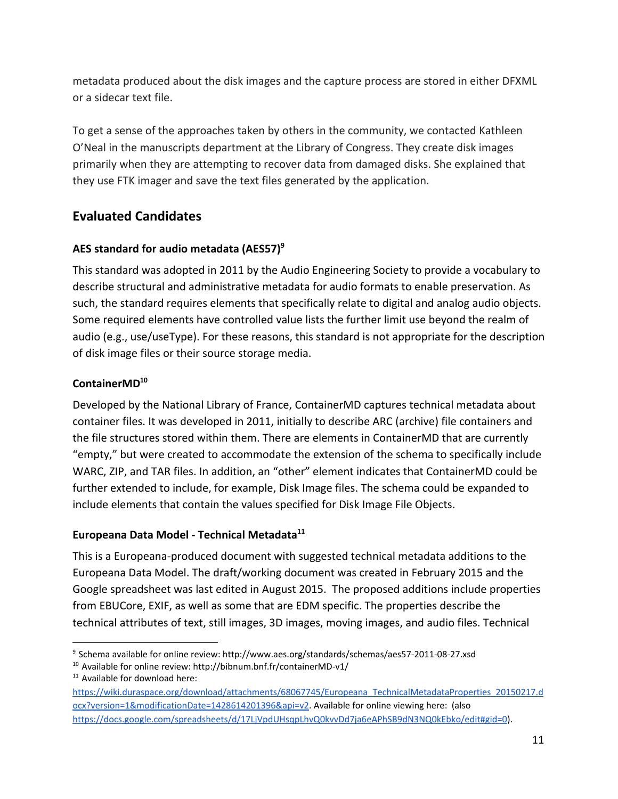metadata produced about the disk images and the capture process are stored in either DFXML or a sidecar text file.

To get a sense of the approaches taken by others in the community, we contacted Kathleen O'Neal in the manuscripts department at the Library of Congress. They create disk images primarily when they are attempting to recover data from damaged disks. She explained that they use FTK imager and save the text files generated by the application.

### **Evaluated Candidates**

### **AES standard for audio metadata (AES57)<sup>9</sup>**

This standard was adopted in 2011 by the Audio Engineering Society to provide a vocabulary to describe structural and administrative metadata for audio formats to enable preservation. As such, the standard requires elements that specifically relate to digital and analog audio objects. Some required elements have controlled value lists the further limit use beyond the realm of audio (e.g., use/useType). For these reasons, this standard is not appropriate for the description of disk image files or their source storage media.

### **ContainerMD<sup>10</sup>**

Developed by the National Library of France, ContainerMD captures technical metadata about container files. It was developed in 2011, initially to describe ARC (archive) file containers and the file structures stored within them. There are elements in ContainerMD that are currently "empty," but were created to accommodate the extension of the schema to specifically include WARC, ZIP, and TAR files. In addition, an "other" element indicates that ContainerMD could be further extended to include, for example, Disk Image files. The schema could be expanded to include elements that contain the values specified for Disk Image File Objects.

### **Europeana Data Model - Technical Metadata<sup>11</sup>**

This is a Europeana-produced document with suggested technical metadata additions to the Europeana Data Model. The draft/working document was created in February 2015 and the Google spreadsheet was last edited in August 2015. The proposed additions include properties from EBUCore, EXIF, as well as some that are EDM specific. The properties describe the technical attributes of text, still images, 3D images, moving images, and audio files. Technical

<sup>9</sup> Schema available for online review: http://www.aes.org/standards/schemas/aes57-2011-08-27.xsd

 $10$  Available for online review: http://bibnum.bnf.fr/containerMD-v1/

<sup>&</sup>lt;sup>11</sup> Available for download here:

[https://wiki.duraspace.org/download/attachments/68067745/Europeana\\_TechnicalMetadataProperties\\_20150217.d](https://wiki.duraspace.org/download/attachments/68067745/Europeana_TechnicalMetadataProperties_20150217.docx?version=1&modificationDate=1428614201396&api=v2) [ocx?version=1&modificationDate=1428614201396&api=v2.](https://wiki.duraspace.org/download/attachments/68067745/Europeana_TechnicalMetadataProperties_20150217.docx?version=1&modificationDate=1428614201396&api=v2) Available for online viewing here: (also [https://docs.google.com/spreadsheets/d/17LjVpdUHsqpLhvQ0kvvDd7ja6eAPhSB9dN3NQ0kEbko/edit#gid=0\)](https://docs.google.com/spreadsheets/d/17LjVpdUHsqpLhvQ0kvvDd7ja6eAPhSB9dN3NQ0kEbko/edit#gid=0).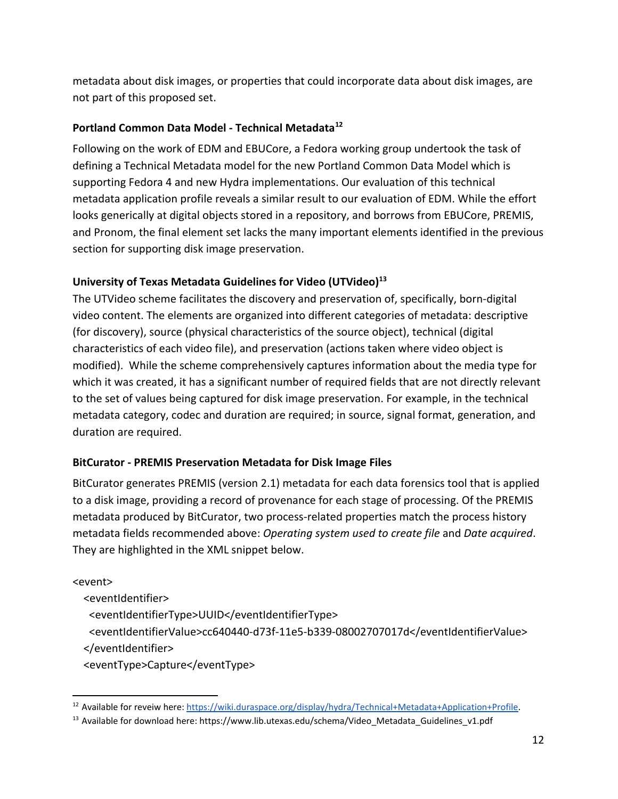metadata about disk images, or properties that could incorporate data about disk images, are not part of this proposed set.

#### **Portland Common Data Model - Technical Metadata<sup>12</sup>**

Following on the work of EDM and EBUCore, a Fedora working group undertook the task of defining a Technical Metadata model for the new Portland Common Data Model which is supporting Fedora 4 and new Hydra implementations. Our evaluation of this technical metadata application profile reveals a similar result to our evaluation of EDM. While the effort looks generically at digital objects stored in a repository, and borrows from EBUCore, PREMIS, and Pronom, the final element set lacks the many important elements identified in the previous section for supporting disk image preservation.

#### **University of Texas Metadata Guidelines for Video (UTVideo)<sup>13</sup>**

The UTVideo scheme facilitates the discovery and preservation of, specifically, born-digital video content. The elements are organized into different categories of metadata: descriptive (for discovery), source (physical characteristics of the source object), technical (digital characteristics of each video file), and preservation (actions taken where video object is modified). While the scheme comprehensively captures information about the media type for which it was created, it has a significant number of required fields that are not directly relevant to the set of values being captured for disk image preservation. For example, in the technical metadata category, codec and duration are required; in source, signal format, generation, and duration are required.

#### **BitCurator - PREMIS Preservation Metadata for Disk Image Files**

BitCurator generates PREMIS (version 2.1) metadata for each data forensics tool that is applied to a disk image, providing a record of provenance for each stage of processing. Of the PREMIS metadata produced by BitCurator, two process-related properties match the process history metadata fields recommended above: *Operating system used to create file* and *Date acquired*. They are highlighted in the XML snippet below.

#### <event>

<eventIdentifier>

<eventIdentifierType>UUID</eventIdentifierType>

<eventIdentifierValue>cc640440-d73f-11e5-b339-08002707017d</eventIdentifierValue>

</eventIdentifier>

<eventType>Capture</eventType>

<sup>&</sup>lt;sup>12</sup> Available for reveiw here: [https://wiki.duraspace.org/display/hydra/Technical+Metadata+Application+Profile.](https://wiki.duraspace.org/display/hydra/Technical+Metadata+Application+Profile)

<sup>&</sup>lt;sup>13</sup> Available for download here: https://www.lib.utexas.edu/schema/Video\_Metadata\_Guidelines\_v1.pdf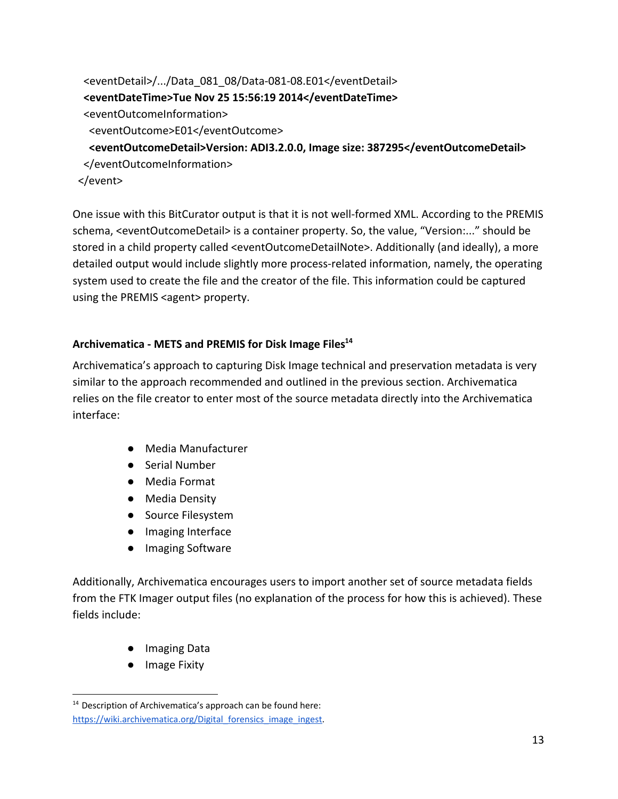```
 <eventDetail>/.../Data_081_08/Data-081-08.E01</eventDetail>
  <eventDateTime>Tue Nov 25 15:56:19 2014</eventDateTime>
  <eventOutcomeInformation>
   <eventOutcome>E01</eventOutcome>
   <eventOutcomeDetail>Version: ADI3.2.0.0, Image size: 387295</eventOutcomeDetail>
 </eventOutcomeInformation>
 </event>
```
One issue with this BitCurator output is that it is not well-formed XML. According to the PREMIS schema, <eventOutcomeDetail> is a container property. So, the value, "Version:..." should be stored in a child property called <eventOutcomeDetailNote>. Additionally (and ideally), a more detailed output would include slightly more process-related information, namely, the operating system used to create the file and the creator of the file. This information could be captured using the PREMIS <agent> property.

#### **Archivematica - METS and PREMIS for Disk Image Files<sup>14</sup>**

Archivematica's approach to capturing Disk Image technical and preservation metadata is very similar to the approach recommended and outlined in the previous section. Archivematica relies on the file creator to enter most of the source metadata directly into the Archivematica interface:

- Media Manufacturer
- Serial Number
- Media Format
- Media Density
- Source Filesystem
- Imaging Interface
- Imaging Software

Additionally, Archivematica encourages users to import another set of source metadata fields from the FTK Imager output files (no explanation of the process for how this is achieved). These fields include:

- Imaging Data
- Image Fixity

<sup>&</sup>lt;sup>14</sup> Description of Archivematica's approach can be found here: https://wiki.archivematica.org/Digital forensics image ingest.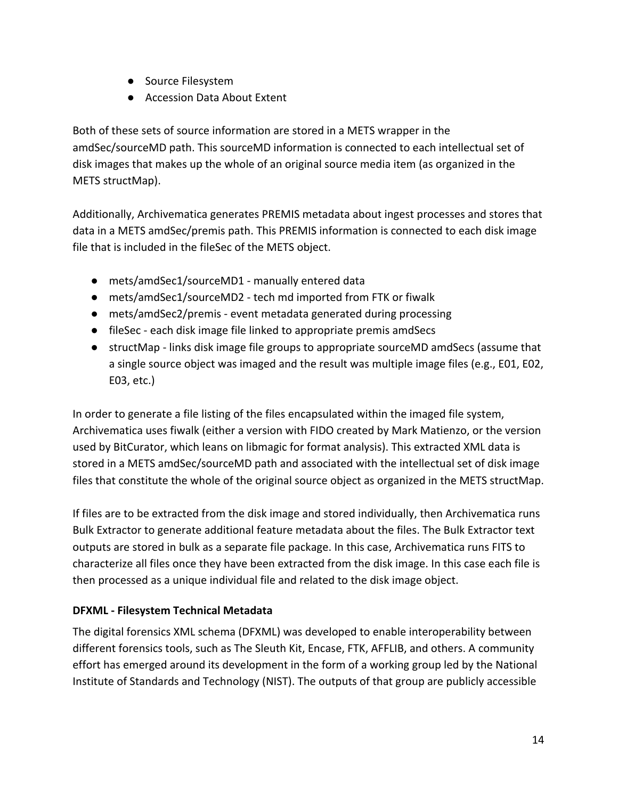- Source Filesystem
- Accession Data About Extent

Both of these sets of source information are stored in a METS wrapper in the amdSec/sourceMD path. This sourceMD information is connected to each intellectual set of disk images that makes up the whole of an original source media item (as organized in the METS structMap).

Additionally, Archivematica generates PREMIS metadata about ingest processes and stores that data in a METS amdSec/premis path. This PREMIS information is connected to each disk image file that is included in the fileSec of the METS object.

- mets/amdSec1/sourceMD1 manually entered data
- mets/amdSec1/sourceMD2 tech md imported from FTK or fiwalk
- mets/amdSec2/premis event metadata generated during processing
- fileSec each disk image file linked to appropriate premis amdSecs
- structMap links disk image file groups to appropriate sourceMD amdSecs (assume that a single source object was imaged and the result was multiple image files (e.g., E01, E02, E03, etc.)

In order to generate a file listing of the files encapsulated within the imaged file system, Archivematica uses fiwalk (either a version with FIDO created by Mark Matienzo, or the version used by BitCurator, which leans on libmagic for format analysis). This extracted XML data is stored in a METS amdSec/sourceMD path and associated with the intellectual set of disk image files that constitute the whole of the original source object as organized in the METS structMap.

If files are to be extracted from the disk image and stored individually, then Archivematica runs Bulk Extractor to generate additional feature metadata about the files. The Bulk Extractor text outputs are stored in bulk as a separate file package. In this case, Archivematica runs FITS to characterize all files once they have been extracted from the disk image. In this case each file is then processed as a unique individual file and related to the disk image object.

### **DFXML - Filesystem Technical Metadata**

The digital forensics XML schema (DFXML) was developed to enable interoperability between different forensics tools, such as The Sleuth Kit, Encase, FTK, AFFLIB, and others. A community effort has emerged around its development in the form of a working group led by the National Institute of Standards and Technology (NIST). The outputs of that group are publicly accessible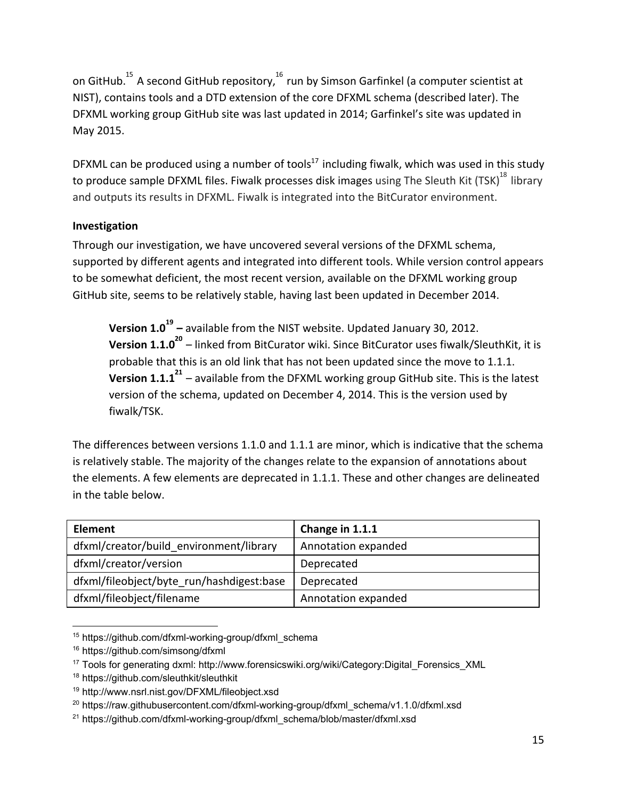on GitHub.<sup>15</sup> A second GitHub repository,  $^{16}$  run by Simson Garfinkel (a computer scientist at NIST), contains tools and a DTD extension of the core DFXML schema (described later). The DFXML working group GitHub site was last updated in 2014; Garfinkel's site was updated in May 2015.

DFXML can be produced using a number of tools $17$  including fiwalk, which was used in this study to produce sample DFXML files. Fiwalk processes disk images using The Sleuth Kit (TSK)<sup>18</sup> library and outputs its results in DFXML. Fiwalk is integrated into the BitCurator environment.

### **Investigation**

Through our investigation, we have uncovered several versions of the DFXML schema, supported by different agents and integrated into different tools. While version control appears to be somewhat deficient, the most recent version, available on the DFXML working group GitHub site, seems to be relatively stable, having last been updated in December 2014.

**Version 1.0<sup>19</sup> –** available from the NIST website. Updated January 30, 2012. **Version 1.1.0<sup>20</sup> –** linked from BitCurator wiki. Since BitCurator uses fiwalk/SleuthKit, it is probable that this is an old link that has not been updated since the move to 1.1.1. **Version 1.1.1<sup>21</sup>** – available from the DFXML working group GitHub site. This is the latest version of the schema, updated on December 4, 2014. This is the version used by fiwalk/TSK.

The differences between versions 1.1.0 and 1.1.1 are minor, which is indicative that the schema is relatively stable. The majority of the changes relate to the expansion of annotations about the elements. A few elements are deprecated in 1.1.1. These and other changes are delineated in the table below.

| <b>Element</b>                            | Change in 1.1.1     |
|-------------------------------------------|---------------------|
| dfxml/creator/build environment/library   | Annotation expanded |
| dfxml/creator/version                     | Deprecated          |
| dfxml/fileobject/byte run/hashdigest:base | Deprecated          |
| dfxml/fileobject/filename                 | Annotation expanded |

<sup>15</sup> https://github.com/dfxml-working-group/dfxml\_schema

<sup>16</sup> https://github.com/simsong/dfxml

<sup>17</sup> Tools for generating dxml: http://www.forensicswiki.org/wiki/Category:Digital\_Forensics\_XML

<sup>18</sup> https://github.com/sleuthkit/sleuthkit

<sup>19</sup> http://www.nsrl.nist.gov/DFXML/fileobject.xsd

<sup>&</sup>lt;sup>20</sup> https://raw.githubusercontent.com/dfxml-working-group/dfxml\_schema/v1.1.0/dfxml.xsd

<sup>&</sup>lt;sup>21</sup> https://github.com/dfxml-working-group/dfxml\_schema/blob/master/dfxml.xsd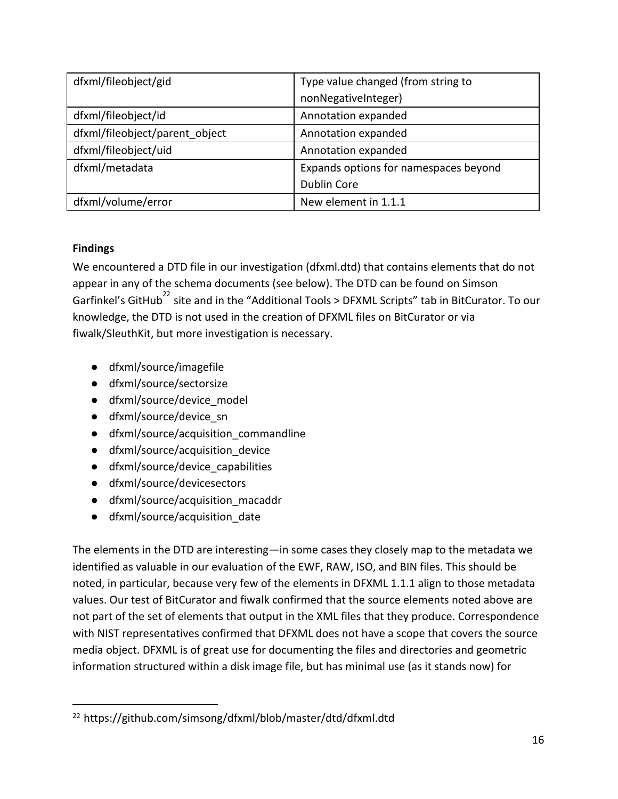| dfxml/fileobject/gid           | Type value changed (from string to    |
|--------------------------------|---------------------------------------|
|                                | nonNegativeInteger)                   |
| dfxml/fileobject/id            | Annotation expanded                   |
| dfxml/fileobject/parent object | Annotation expanded                   |
| dfxml/fileobject/uid           | Annotation expanded                   |
| dfxml/metadata                 | Expands options for namespaces beyond |
|                                | Dublin Core                           |
| dfxml/volume/error             | New element in 1.1.1                  |

#### **Findings**

We encountered a DTD file in our investigation (dfxml.dtd) that contains elements that do not appear in any of the schema documents (see below). The DTD can be found on Simson Garfinkel's GitHub<sup>22</sup> site and in the "Additional Tools > DFXML Scripts" tab in BitCurator. To our knowledge, the DTD is not used in the creation of DFXML files on BitCurator or via fiwalk/SleuthKit, but more investigation is necessary.

- dfxml/source/imagefile
- dfxml/source/sectorsize
- dfxml/source/device\_model
- dfxml/source/device\_sn
- dfxml/source/acquisition\_commandline
- dfxml/source/acquisition\_device
- dfxml/source/device\_capabilities
- dfxml/source/devicesectors
- dfxml/source/acquisition\_macaddr
- dfxml/source/acquisition\_date

The elements in the DTD are interesting—in some cases they closely map to the metadata we identified as valuable in our evaluation of the EWF, RAW, ISO, and BIN files. This should be noted, in particular, because very few of the elements in DFXML 1.1.1 align to those metadata values. Our test of BitCurator and fiwalk confirmed that the source elements noted above are not part of the set of elements that output in the XML files that they produce. Correspondence with NIST representatives confirmed that DFXML does not have a scope that covers the source media object. DFXML is of great use for documenting the files and directories and geometric information structured within a disk image file, but has minimal use (as it stands now) for

<sup>22</sup> https://github.com/simsong/dfxml/blob/master/dtd/dfxml.dtd